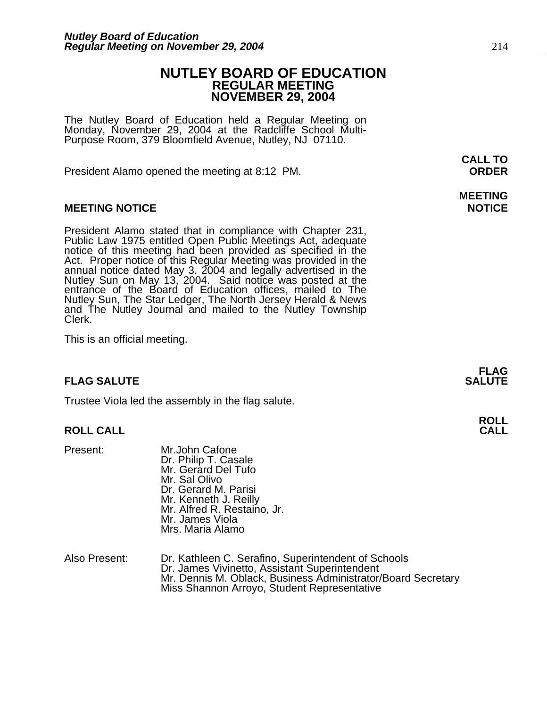## **NUTLEY BOARD OF EDUCATION REGULAR MEETING NOVEMBER 29, 2004**

The Nutley Board of Education held a Regular Meeting on Monday, November 29, 2004 at the Radcliffe School Multi-Purpose Room, 379 Bloomfield Avenue, Nutley, NJ 07110.

President Alamo opened the meeting at 8:12 PM. **ORDER**

### **MEETING NOTICE NOTICE**

President Alamo stated that in compliance with Chapter 231,<br>Public Law 1975 entitled Open Public Meetings Act, adequate<br>notice of this meeting had been provided as specified in the<br>Act. Proper notice of this Regular Meetin annual notice dated May 3, 2004 and legally advertised in the Nutley Sun on May 13, 2004. Said notice was posted at the entrance of the Board of Education offices, mailed to The Nutley Sun, The Star Ledger, The North Jersey Herald & News and The Nutley Journal and mailed to the Nutley Township Clerk.

This is an official meeting.

#### **FLAG SALUTE SALUTE SALUTE**

Trustee Viola led the assembly in the flag salute.

#### **ROLL CALL CALL**

- Present: Mr.John Cafone Dr. Philip T. Casale Mr. Gerard Del Tufo Mr. Sal Olivo Dr. Gerard M. Parisi Mr. Kenneth J. Reilly Mr. Alfred R. Restaino, Jr. Mr. James Viola Mrs. Maria Alamo
- Also Present: Dr. Kathleen C. Serafino, Superintendent of Schools Mr. Dennis M. Oblack, Business Administrator/Board Secretary Miss Shannon Arroyo, Student Representative

**CALL TO** 

# **MEETING**

**FLAG** 

**ROLL**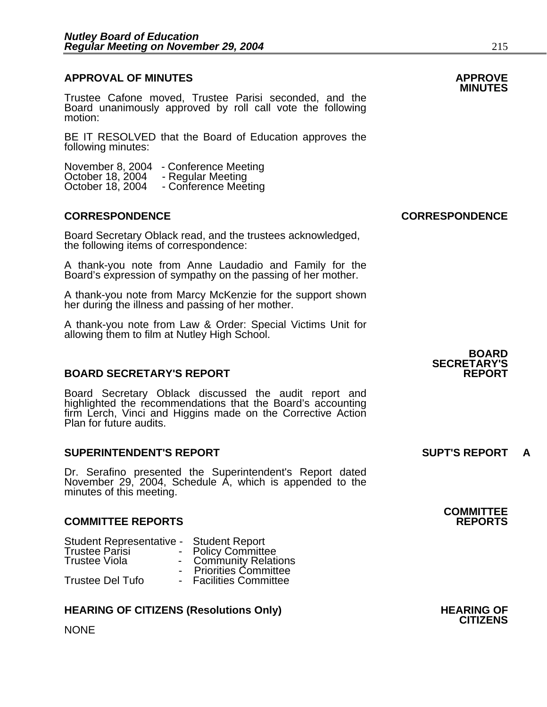# **APPROVAL OF MINUTES APPROVE**

**MINUTES** Trustee Cafone moved, Trustee Parisi seconded, and the Board unanimously approved by roll call vote the following motion:

BE IT RESOLVED that the Board of Education approves the following minutes:

November 8, 2004 - Conference Meeting<br>October 18, 2004 - Regular Meeting<br>October 18, 2004 - Conference Meeting

#### **CORRESPONDENCE CORRESPONDENCE**

Board Secretary Oblack read, and the trustees acknowledged, the following items of correspondence:

A thank-you note from Anne Laudadio and Family for the Board's expression of sympathy on the passing of her mother.

A thank-you note from Marcy McKenzie for the support shown her during the illness and passing of her mother.

A thank-you note from Law & Order: Special Victims Unit for allowing them to film at Nutley High School.

#### **BOARD SECRETARY'S REPORT**

Board Secretary Oblack discussed the audit report and highlighted the recommendations that the Board's accounting firm Lerch, Vinci and Higgins made on the Corrective Action Plan for future audits.

#### **SUPERINTENDENT'S REPORT SUPT'S REPORT A**

Dr. Serafino presented the Superintendent's Report dated November 29, 2004, Schedule A, which is appended to the minutes of this meeting.

#### **COMMITTEE REPORTS REPORTS**

| Student Representative - Student Report |
|-----------------------------------------|
| <b>Policy Committee</b>                 |
| - Community Relations                   |
| <b>Priorities Committee</b>             |
| - Facilities Committee                  |
|                                         |

#### **HEARING OF CITIZENS (Resolutions Only) THEARING OF STATE AND REARING OF**

**NONE** 

**BOARD SECRETARY'S** 

**COMMITTEE**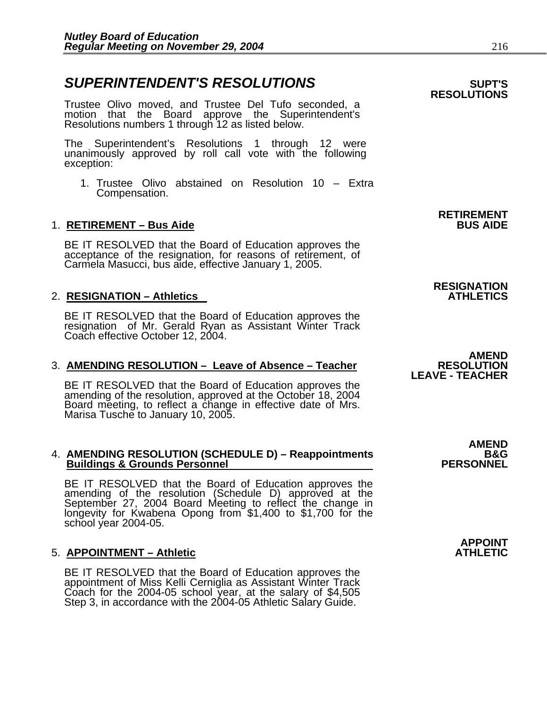## **SUPERINTENDENT'S RESOLUTIONS** *SUPERINTENDENT'S*

Trustee Olivo moved, and Trustee Del Tufo seconded, a motion that the Board approve the Superintendent's Resolutions numbers 1 through 12 as listed below.

The Superintendent's Resolutions 1 through 12 were unanimously approved by roll call vote with the following exception:

1. Trustee Olivo abstained on Resolution 10 – Extra Compensation.

#### 1. **RETIREMENT – Bus Aide**

BE IT RESOLVED that the Board of Education approves the acceptance of the resignation, for reasons of retirement, of Carmela Masucci, bus aide, effective January 1, 2005.

#### 2. **RESIGNATION – Athletics**

BE IT RESOLVED that the Board of Education approves the<br>resignation of Mr. Gerald Ryan as Assistant Winter Track Coach effective October 12, 2004.

#### 3. AMENDING RESOLUTION - Leave of Absence - Teacher

BE IT RESOLVED that the Board of Education approves the amending of the resolution, approved at the October 18, 2004 Board meeting, to reflect a change in effective date of Mrs.<br>Marisa Tusche to January 10, 2005.

# 4. AMENDING RESOLUTION (SCHEDULE D) – Reappointments B&G<br>Buildings & Grounds Personnel PERSONNEL

BE IT RESOLVED that the Board of Education approves the amending of the resolution (Schedule D) approved at the September 27, 2004 Board Meeting to reflect the change in longevity for Kwabena Opong from \$1,400 to \$1,700 for the school year 2004-05.

#### 5. **APPOINTMENT – Athletic ATHLETIC**

BE IT RESOLVED that the Board of Education approves the appointment of Miss Kelli Cerniglia as Assistant Winter Track Coach for the 2004-05 school year, at the salary of \$4,505 Step 3, in accordance with the 2004-05 Athlet

**RETIREMENT** 

**RESIGNATION** 

**AMEND<br>RESOLUTION LEAVE - TEACHER** 

**AMEND** 

 **APPOINT** 

# **RESOLUTIONS**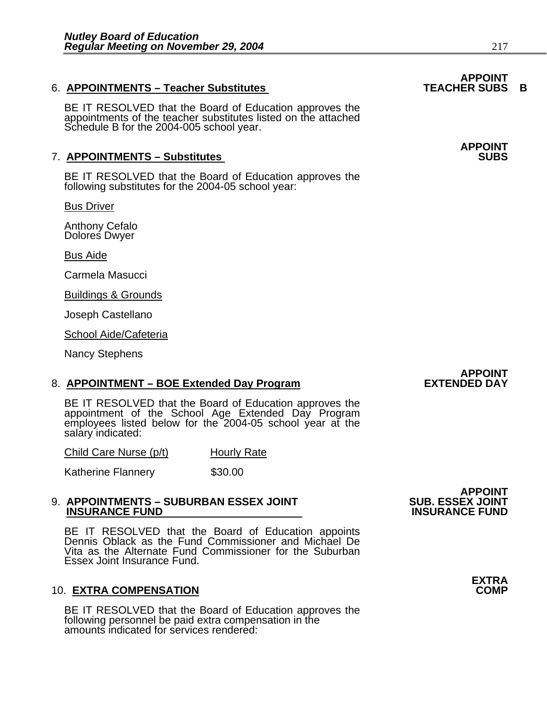## 6. **APPOINTMENTS - Teacher Substitutes**

BE IT RESOLVED that the Board of Education approves the appointments of the teacher substitutes listed on the attached Schedule B for the 2004-005 school year.

### **7. APPOINTMENTS - Substitutes**

BE IT RESOLVED that the Board of Education approves the following substitutes for the 2004-05 school year:

Bus Driver

Anthony Cefalo Dolores Dwyer

Bus Aide

Carmela Masucci

Buildings & Grounds

Joseph Castellano

School Aide/Cafeteria

Nancy Stephens

#### 8. **APPOINTMENT – BOE Extended Day Program**

BE IT RESOLVED that the Board of Education approves the appointment of the School Age Extended Day Program employees listed below for the 2004-05 school year at the salary indicated:

Child Care Nurse (p/t) Hourly Rate

Katherine Flannery \$30.00

#### 9. **APPOINTMENTS – SUBURBAN ESSEX JOINT SUB. ESSEX JOINT INSURANCE FUND**

BE IT RESOLVED that the Board of Education appoints Dennis Oblack as the Fund Commissioner and Michael De Vita as the Alternate Fund Commissioner for the Suburban Essex Joint Insurance Fund.

#### 10. **EXTRA COMPENSATION COMP**

BE IT RESOLVED that the Board of Education approves the following personnel be paid extra compensation in the amounts indicated for services rendered:

# **APPOINT<br>SUB. ESSEX JOINT**

# **APPOINT<br>TEACHER SUBS B**

**APPOINT** 



# **APPOINT<br>EXTENDED DAY**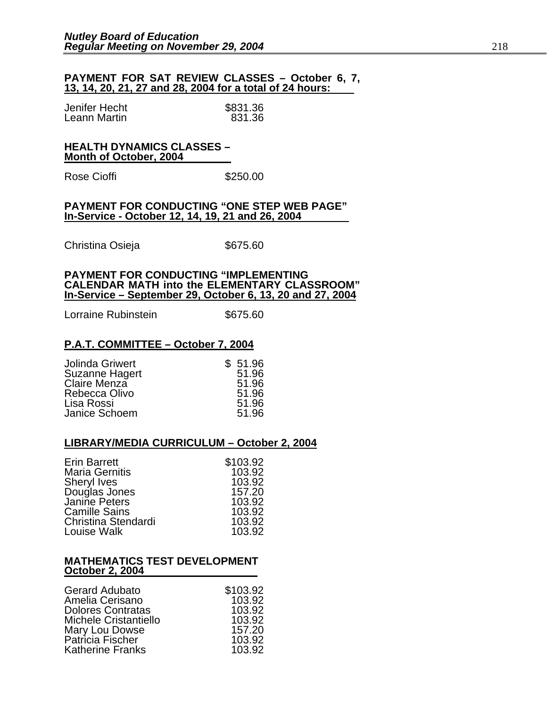#### **PAYMENT FOR SAT REVIEW CLASSES – October 6, 7, 13, 14, 20, 21, 27 and 28, 2004 for a total of 24 hours:**

| Jenifer Hecht | \$831.36 |
|---------------|----------|
| Leann Martin  | 831.36   |

#### **HEALTH DYNAMICS CLASSES – Month of October, 2004**

Rose Cioffi **\$250.00** 

#### **PAYMENT FOR CONDUCTING "ONE STEP WEB PAGE" In-Service - October 12, 14, 19, 21 and 26, 2004**

Christina Osieja **\$675.60** 

#### **PAYMENT FOR CONDUCTING "IMPLEMENTING CALENDAR MATH into the ELEMENTARY CLASSROOM" In-Service – September 29, October 6, 13, 20 and 27, 2004**

Lorraine Rubinstein **\$675.60** 

#### **P.A.T. COMMITTEE – October 7, 2004**

| Jolinda Griwert | \$51.96 |
|-----------------|---------|
| Suzanne Hagert  | 51.96   |
| Claire Menza    | 51.96   |
| Rebecca Olivo   | 51.96   |
| Lisa Rossi      | 51.96   |
| Janice Schoem   | 51.96   |

#### **LIBRARY/MEDIA CURRICULUM – October 2, 2004**

| <b>Erin Barrett</b>   | \$103.92 |
|-----------------------|----------|
| <b>Maria Gernitis</b> | 103.92   |
| Sheryl Ives           | 103.92   |
| Douglas Jones         | 157.20   |
| Janine Peters         | 103.92   |
| <b>Camille Sains</b>  | 103.92   |
| Christina Stendardi   | 103.92   |
| Louise Walk           | 103.92   |

#### **MATHEMATICS TEST DEVELOPMENT October 2, 2004**

| <b>Gerard Adubato</b>    | \$103.92 |
|--------------------------|----------|
| Amelia Cerisano          | 103.92   |
| <b>Dolores Contratas</b> | 103.92   |
| Michele Cristantiello    | 103.92   |
| Mary Lou Dowse           | 157.20   |
| Patricia Fischer         | 103.92   |
| <b>Katherine Franks</b>  | 103.92   |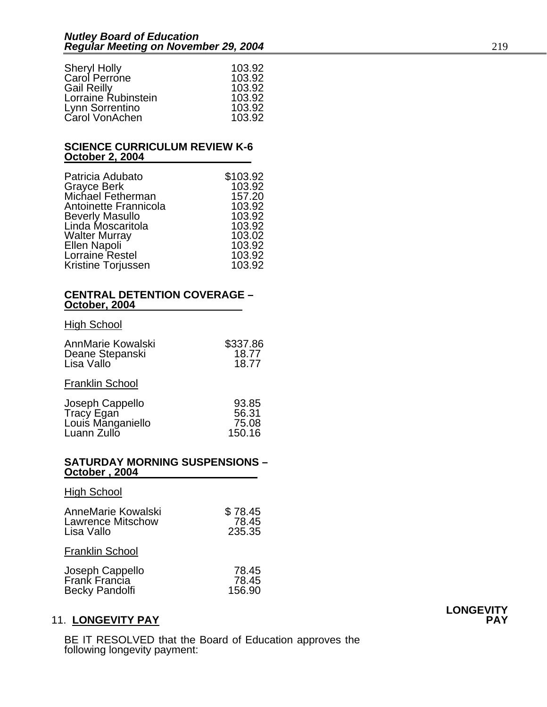| <b>Sheryl Holly</b> | 103.92 |
|---------------------|--------|
| Carol Perrone       | 103.92 |
| <b>Gail Reilly</b>  | 103.92 |
| Lorraine Rubinstein | 103.92 |
| Lynn Sorrentino     | 103.92 |
| Carol VonAchen      | 103.92 |

#### **SCIENCE CURRICULUM REVIEW K-6 October 2, 2004**

| Patricia Adubato       | \$103.92 |
|------------------------|----------|
| <b>Grayce Berk</b>     | 103.92   |
| Michael Fetherman      | 157.20   |
| Antoinette Frannicola  | 103.92   |
| <b>Beverly Masullo</b> | 103.92   |
| Linda Moscaritola      | 103.92   |
| <b>Walter Murray</b>   | 103.02   |
| Ellen Napoli           | 103.92   |
| Lorraine Restel        | 103.92   |
| Kristine Torjussen     | 103.92   |

#### **CENTRAL DETENTION COVERAGE – October, 2004**

#### **High School**

| AnnMarie Kowalski | \$337.86 |
|-------------------|----------|
| Deane Stepanski   | 18.77    |
| Lisa Vallo        | 18.77    |

### Franklin School

| Joseph Cappello   | 93.85  |
|-------------------|--------|
| Tracy Egan        | 56.31  |
| Louis Manganiello | 75.08  |
| Luann Zullo       | 150.16 |

#### **SATURDAY MORNING SUSPENSIONS – October , 2004**

#### High School

| AnneMarie Kowalski | \$78.45 |
|--------------------|---------|
| Lawrence Mitschow  | 78.45   |
| Lisa Vallo         | 235.35  |
|                    |         |

#### Franklin School

| Joseph Cappello | 78.45  |
|-----------------|--------|
| Frank Francia   | 78.45  |
| Becky Pandolfi  | 156.90 |

## 11. **LONGEVITY PAY PAY**

BE IT RESOLVED that the Board of Education approves the following longevity payment: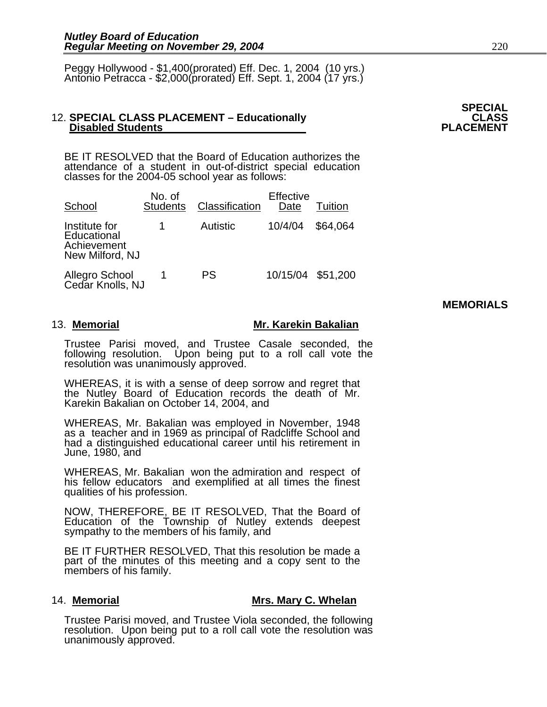Peggy Hollywood - \$1,400(prorated) Eff. Dec. 1, 2004 (10 yrs.) Antonio Petracca - \$2,000(prorated) Eff. Sept. 1, 2004 (17 yrs.)

# 12. SPECIAL CLASS PLACEMENT – Educationally **CLASS** CLASS<br>PLACEMENT **PLACEMENT**

BE IT RESOLVED that the Board of Education authorizes the attendance of a student in out-of-district special education classes for the 2004-05 school year as follows:

| School                                                         | No. of<br><b>Students</b> | Classification | Effective<br>Date | Tuition  |
|----------------------------------------------------------------|---------------------------|----------------|-------------------|----------|
| Institute for<br>Educational<br>Achievement<br>New Milford, NJ |                           | Autistic       | 10/4/04           | \$64.064 |
| Allegro School<br>Cedar Knolls, NJ                             |                           | PS             | 10/15/04 \$51,200 |          |

**MEMORIALS** 

#### 13. Memorial **Mr. Karekin Bakalian**

Trustee Parisi moved, and Trustee Casale seconded, the following resolution. Upon being put to a roll call vote the resolution was unanimously approved.

WHEREAS, it is with a sense of deep sorrow and regret that the Nutley Board of Education records the death of Mr. Karekin Bakalian on October 14, 2004, and

WHEREAS, Mr. Bakalian was employed in November, 1948 as a teacher and in 1969 as principal of Radcliffe School and had a distinguished educational career until his retirement in June, 1980, and

WHEREAS, Mr. Bakalian won the admiration and respect of his fellow educators and exemplified at all times the finest qualities of his profession.

NOW, THEREFORE, BE IT RESOLVED, That the Board of Education of the Township of Nutley extends deepest sympathy to the members of his family, and

BE IT FURTHER RESOLVED, That this resolution be made a part of the minutes of this meeting and a copy sent to the members of his family.

#### 14. **Memorial Mrs. Mary C. Whelan**

Trustee Parisi moved, and Trustee Viola seconded, the following resolution. Upon being put to a roll call vote the resolution was unanimously approved.

**SPECIAL**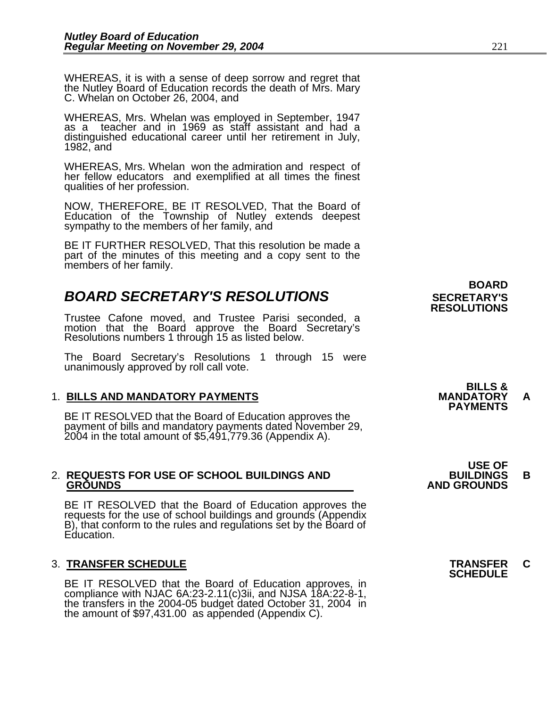WHEREAS, it is with a sense of deep sorrow and regret that the Nutley Board of Education records the death of Mrs. Mary C. Whelan on October 26, 2004, and

WHEREAS, Mrs. Whelan was employed in September, 1947 as a teacher and in 1969 as staff assistant and had a distinguished educational career until her retirement in July, 1982, and

WHEREAS, Mrs. Whelan won the admiration and respect of her fellow educators and exemplified at all times the finest qualities of her profession.

NOW, THEREFORE, BE IT RESOLVED, That the Board of Education of the Township of Nutley extends deepest sympathy to the members of her family, and

BE IT FURTHER RESOLVED, That this resolution be made a part of the minutes of this meeting and a copy sent to the members of her family.

## **BOARD SECRETARY'S RESOLUTIONS** SECRETARY'S

Trustee Cafone moved, and Trustee Parisi seconded, a motion that the Board approve the Board Secretary's Resolutions numbers 1 through 15 as listed below.

The Board Secretary's Resolutions 1 through 15 were unanimously approved by roll call vote.

1. BILLS AND MANDATORY PAYMENTS<br>
BE IT RESOLVED that the Board of Education approves the **PAYMENTS** payment of bills and mandatory payments dated November 29, 2004 in the total amount of \$5,491,779.36 (Appendix A).

# 2. **REQUESTS FOR USE OF SCHOOL BUILDINGS AND BUILDINGS B**

BE IT RESOLVED that the Board of Education approves the requests for the use of school buildings and grounds (Appendix B), that conform to the rules and regulations set by the Board of Education.

BE IT RESOLVED that the Board of Education approves, in compliance with NJAC 6A:23-2.11(c)3ii, and NJSA 18A:22-8-1, the transfers in the 2004-05 budget dated October 31, 2004 in the amount of \$97,431.00 as appended (Append

 **BOARD RESOLUTIONS** 

**BILLS &** 

 **USE OF GROUNDS AND GROUNDS** 

3. **TRANSFER SCHEDULE TRANSFER C SCHEDULE**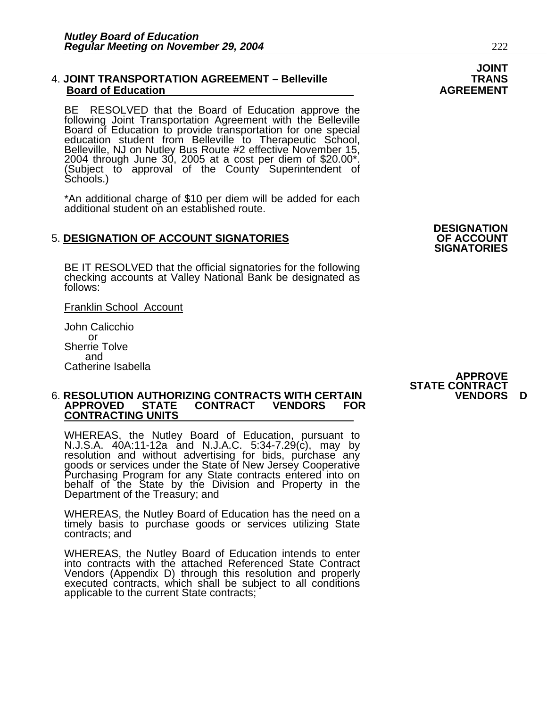#### 4. **JOINT TRANSPORTATION AGREEMENT – Belleville TRANS Board of Education**

BE RESOLVED that the Board of Education approve the following Joint Transportation Agreement with the Belleville Board of Education to provide transportation for one special Board of Education to provide transportation for one special<br>education student from Belleville to Therapeutic School,<br>Belleville, NJ on Nutley Bus Route #2 effective November 15, 2004 through June 30, 2005 at a cost per diem of \$20.00\*.<br>(Subject to approval of the County Superintendent of<br>Schools.)

\*An additional charge of \$10 per diem will be added for each additional student on an established route.

## **5. DESIGNATION OF ACCOUNT SIGNATORIES**

BE IT RESOLVED that the official signatories for the following checking accounts at Valley National Bank be designated as follows:

Franklin School Account

John Calicchio or Sherrie Tolve and Catherine Isabella

#### 6. **RESOLUTION AUTHORIZING CONTRACTS WITH CERTAIN VENDORS D APPROVED STATE CONTRACT VENDORS FOR CONTRACTING UNITS**

WHEREAS, the Nutley Board of Education, pursuant to N.J.S.A. 40A:11-12a and N.J.A.C. 5:34-7.29(c), may by resolution and without advertising for bids, purchase any goods or services under the State of New Jersey Cooperative<br>Purchasing Program for any State contracts entered into on behalf of the State by the Division and Property in the<br>Department of the Treasury; and

WHEREAS, the Nutley Board of Education has the need on a timely basis to purchase goods or services utilizing State contracts; and

WHEREAS, the Nutley Board of Education intends to enter into contracts with the attached Referenced State Contract<br>Vendors (Appendix D) through this resolution and properly executed contracts, which shall be subject to all conditions applicable to the current State contracts;

## **DESIGNATION SIGNATORIES**

## **APPROVE STATE CONTRACT**

# **JOINT**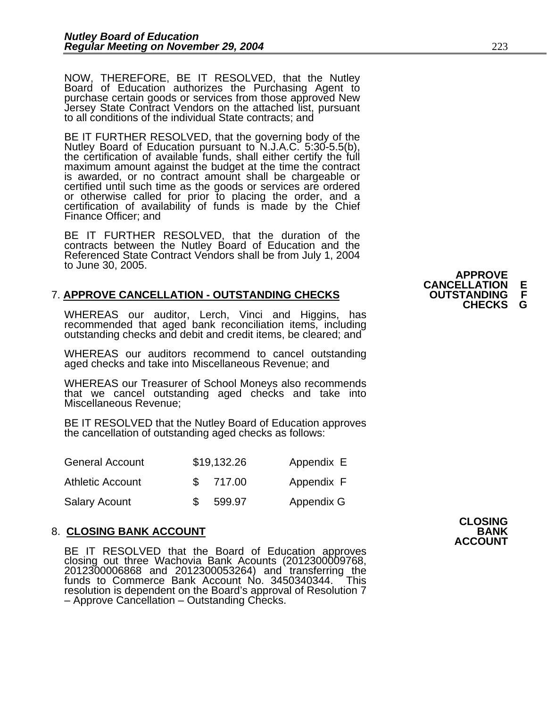NOW, THEREFORE, BE IT RESOLVED, that the Nutley Board of Education authorizes the Purchasing Agent to purchase certain goods or services from those approved New Jersey State Contract Vendors on the attached list, pursuant to all conditions of the individual State contracts; and

BE IT FURTHER RESOLVED, that the governing body of the Nutley Board of Education pursuant to N.J.A.C. 5:30-5.5(b), the certification of available funds, shall either certify the full maximum amount against the budget at th certified until such time as the goods or services are ordered<br>or otherwise called for prior to placing the order, and a<br>certification of availability of funds is made by the Chief<br>Finance Officer; and

BE IT FURTHER RESOLVED, that the duration of the contracts between the Nutley Board of Education and the Referenced State Contract Vendors shall be from July 1, 2004 to June 30, 2005.

# 7. **APPROVE CANCELLATION - OUTSTANDING CHECKS OUTSTANDING F**

WHEREAS our auditor, Lerch, Vinci and Higgins, has recommended that aged bank reconciliation items, including outstanding checks and debit and credit items, be cleared; and

WHEREAS our auditors recommend to cancel outstanding aged checks and take into Miscellaneous Revenue; and

WHEREAS our Treasurer of School Moneys also recommends that we cancel outstanding aged checks and take into Miscellaneous Revenue;

BE IT RESOLVED that the Nutley Board of Education approves the cancellation of outstanding aged checks as follows:

| <b>General Account</b>  | \$19,132.26 | Appendix E |
|-------------------------|-------------|------------|
| <b>Athletic Account</b> | \$717.00    | Appendix F |
| <b>Salary Acount</b>    | 599.97      | Appendix G |

#### 8. **CLOSING BANK ACCOUNT BANK**

BE IT RESOLVED that the Board of Education approves closing out three Wachovia Bank Acounts (2012300009768, 2012300006868 and 2012300053264) and transferring the funds to Commerce Bank Account No. 3450340344. This resolution is dependent on the Board's approval of Resolution 7 – Approve Cancellation – Outstanding Checks.

**APPROVE CANCELLATION<br>OUTSTANDING CHECKS**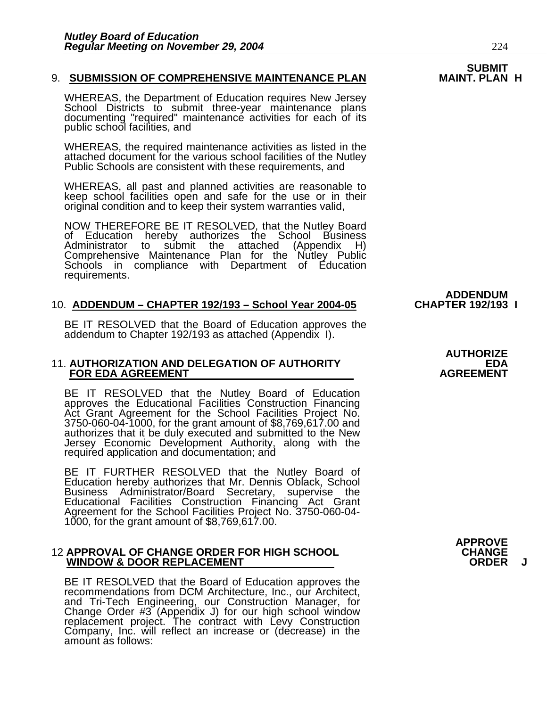#### 9. SUBMISSION OF COMPREHENSIVE MAINTENANCE PLAN

WHEREAS, the Department of Education requires New Jersey<br>School Districts to submit three-year maintenance plans<br>documenting "required" maintenance activities for each of its public school facilities, and

WHEREAS, the required maintenance activities as listed in the attached document for the various school facilities of the Nutley Public Schools are consistent with these requirements, and

WHEREAS, all past and planned activities are reasonable to keep school facilities open and safe for the use or in their original condition and to keep their system warranties valid,

NOW THEREFORE BE IT RESOLVED, that the Nutley Board<br>of Education hereby authorizes the School Business<br>Administrator to submit the attached (Appendix H) submit the attached (Appendix H) Comprehensive Maintenance Plan for the Nutley Public Schools in compliance with Department of Education requirements.

#### 10. **ADDENDUM – CHAPTER 192/193 – School Year 2004-05**

BE IT RESOLVED that the Board of Education approves the addendum to Chapter 192/193 as attached (Appendix I).

#### 11. **AUTHORIZATION AND DELEGATION OF AUTHORITY EDA FOR EDA AGREEMENT AGREEMENT** AGREEMENT

BE IT RESOLVED that the Nutley Board of Education approves the Educational Facilities Construction Financing Act Grant Agreement for the School Facilities Project No. 3750-060-04-1000, for the grant amount of \$8,769,617.00 and authorizes that it be duly executed and submitted to the New Jersey Economic Development Authority, along with the required application and documentation; and

BE IT FURTHER RESOLVED that the Nutley Board of Education hereby authorizes that Mr. Dennis Oblack, School Business Administrator/Board Secretary, supervise the<br>Educational Facilities Construction Financing Act Grant Agreement for the School Facilities Project No. 3750-060-04-<br>1000, for the grant amount of \$8,769,617.00.

#### 12 **APPROVAL OF CHANGE ORDER FOR HIGH SCHOOL CHANGE WINDOW & DOOR REPLACEMENT**

BE IT RESOLVED that the Board of Education approves the recommendations from DCM Architecture, Inc., our Architect, and Tri-Tech Engineering, our Construction Manager, for Change Order #3 (Appendix J) for our high school w replacement project. The contract with Levy Construction<br>Company, Inc. will reflect an increase or (decrease) in the amount as follows:

**AUTHORIZE** 

**ADDENDUM<br>CHAPTER 192/193 I** 



**APPROVE**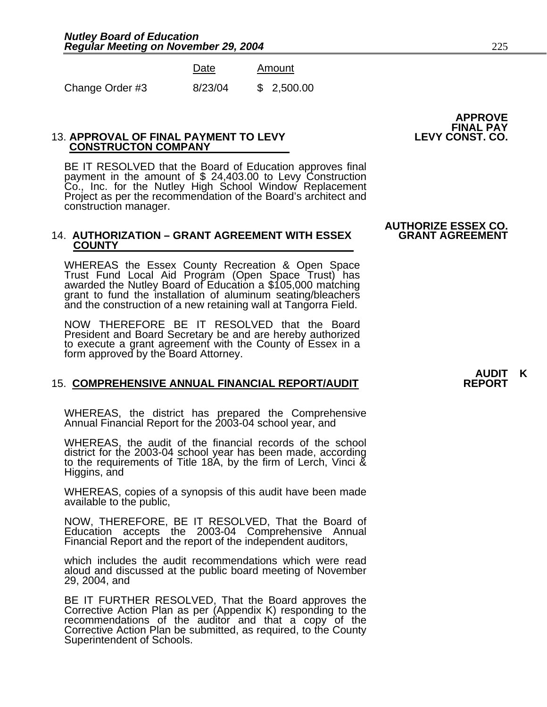|                 | Date    | Amount     |
|-----------------|---------|------------|
| Change Order #3 | 8/23/04 | \$2,500.00 |

#### **13. APPROVAL OF FINAL PAYMENT TO LEVY CONSTRUCTON COMPANY**

BE IT RESOLVED that the Board of Education approves final<br>payment in the amount of \$ 24,403.00 to Levy Construction<br>Co., Inc. for the Nutley High School Window Replacement<br>Project as per the recommendation of the Board's a construction manager.

#### 14. **AUTHORIZATION – GRANT AGREEMENT WITH ESSEX COUNTY**

WHEREAS the Essex County Recreation & Open Space Trust Fund Local Aid Program (Open Space Trust) has awarded the Nutley Board of Education a \$105,000 matching grant to fund the installation of aluminum seating/bleachers and the construction of a new retaining wall at Tangorra Field.

NOW THEREFORE BE IT RESOLVED that the Board President and Board Secretary be and are hereby authorized to execute a grant agreement with the County of Essex in a form approved by the Board Attorney.

#### 15. COMPREHENSIVE ANNUAL FINANCIAL REPORT/AUDIT

WHEREAS, the district has prepared the Comprehensive Annual Financial Report for the 2003-04 school year, and

WHEREAS, the audit of the financial records of the school district for the 2003-04 school year has been made, according<br>to the requirements of Title 18A, by the firm of Lerch, Vinci &<br>Higgins, and

WHEREAS, copies of a synopsis of this audit have been made available to the public,

NOW, THEREFORE, BE IT RESOLVED, That the Board of Education accepts the 2003-04 Comprehensive Annual Financial Report and the report of the independent auditors,

which includes the audit recommendations which were read aloud and discussed at the public board meeting of November 29, 2004, and

BE IT FURTHER RESOLVED, That the Board approves the<br>Corrective Action Plan as per (Appendix K) responding to the<br>recommendations of the auditor and that a copy of the Corrective Action Plan be submitted, as required, to the County<br>Superintendent of Schools.

# APPROVE<br>FINAL PAY<br>LEVY CONST. CO.

# **AUTHORIZE ESSEX CO.**

# **AUDIT K**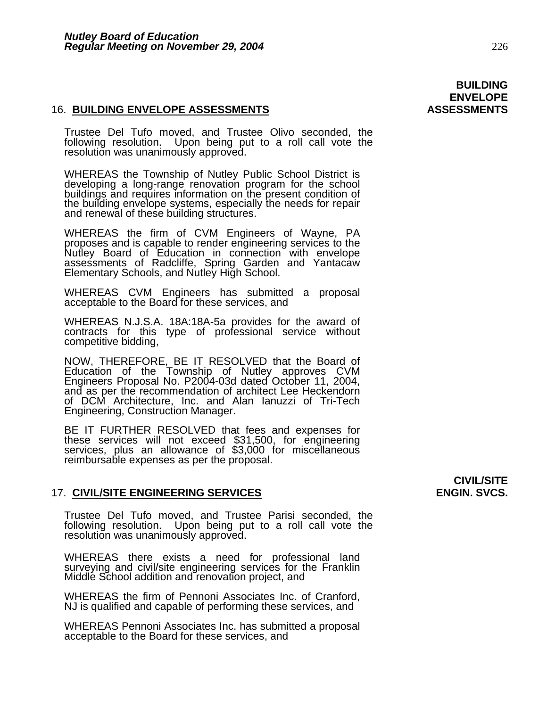#### 16. **BUILDING ENVELOPE ASSESSMENTS ASSESSMENTS**

Trustee Del Tufo moved, and Trustee Olivo seconded, the following resolution. Upon being put to a roll call vote the resolution was unanimously approved.

WHEREAS the Township of Nutley Public School District is developing a long-range renovation program for the school<br>buildings and requires information on the present condition of<br>the building envelope systems, especially the needs for repair<br>and renewal of these building structur

WHEREAS the firm of CVM Engineers of Wayne, PA proposes and is capable to render engineering services to the propose and is capable to render engineering services to the Nutley Board of Education in connection with envelope assessments of Radcliffe, Spring Garden and Yantacaw Elementary Schools, and Nutley High School.

WHEREAS CVM Engineers has submitted a proposal acceptable to the Board for these services, and

WHEREAS N.J.S.A. 18A:18A-5a provides for the award of contracts for this type of professional service without competitive bidding,

NOW, THEREFORE, BE IT RESOLVED that the Board of Education of the Township of Nutley approves CVM Engineers Proposal No. P2004-03d dated October 11, 2004, and as per the recommendation of architect Lee Heckendorn of DCM Architecture, Inc. and Alan Ianuzzi of Tri-Tech Engineering, Construction Manager.

BE IT FURTHER RESOLVED that fees and expenses for these services will not exceed \$31,500, for engineering services, plus an allowance of \$3,000 for miscellaneous reimbursable expenses as per the proposal.

#### 17. CIVIL/SITE ENGINEERING SERVICES **ENGIN. SVCS.** ENGIN. SVCS.

Trustee Del Tufo moved, and Trustee Parisi seconded, the following resolution. Upon being put to a roll call vote the resolution was unanimously approved.

WHEREAS there exists a need for professional land surveying and civil/site engineering services for the Franklin Middle School addition and renovation project, and

WHEREAS the firm of Pennoni Associates Inc. of Cranford, NJ is qualified and capable of performing these services, and

WHEREAS Pennoni Associates Inc. has submitted a proposal acceptable to the Board for these services, and

# **CIVIL/SITE**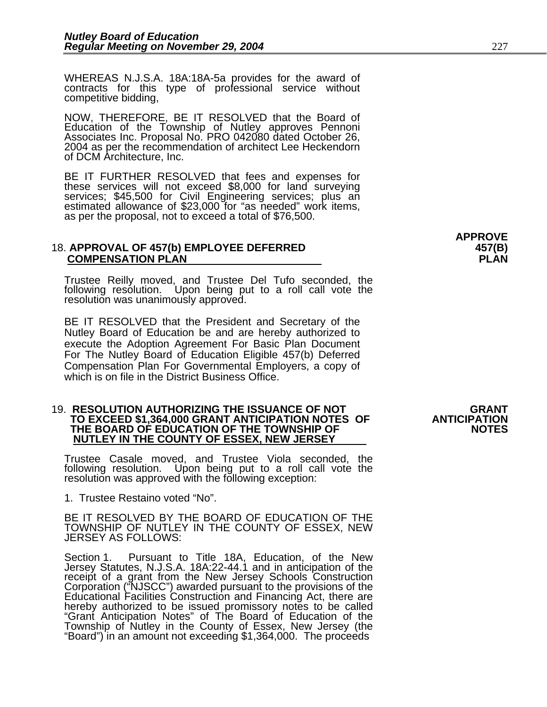WHEREAS N.J.S.A. 18A:18A-5a provides for the award of contracts for this type of professional service without competitive bidding,

NOW, THEREFORE, BE IT RESOLVED that the Board of Education of the Township of Nutley approves Pennoni Associates Inc. Proposal No. PRO 042080 dated October 26, 2004 as per the recommendation of architect Lee Heckendorn of DCM Architecture, Inc.

BE IT FURTHER RESOLVED that fees and expenses for these services will not exceed \$8,000 for land surveying services; \$45,500 for Civil Engineering services; plus an estimated allowance of \$23,000 for "as needed" work items, as per the proposal, not to exceed a total of \$76,500.

#### 18. **APPROVAL OF 457(b) EMPLOYEE DEFERRED 457(B) COMPENSATION PLAN PLAN**

Trustee Reilly moved, and Trustee Del Tufo seconded, the following resolution. Upon being put to a roll call vote the resolution was unanimously approved.

BE IT RESOLVED that the President and Secretary of the Nutley Board of Education be and are hereby authorized to execute the Adoption Agreement For Basic Plan Document For The Nutley Board of Education Eligible 457(b) Deferred Compensation Plan For Governmental Employers, a copy of which is on file in the District Business Office.

#### 19. **RESOLUTION AUTHORIZING THE ISSUANCE OF NOT GRANT TO EXCEED \$1,364,000 GRANT ANTICIPATION NOTES OF** THE BOARD OF EDUCATION OF THE TOWNSHIP OF **NOTES NUTLEY IN THE COUNTY OF ESSEX, NEW JERSEY**

Trustee Casale moved, and Trustee Viola seconded, the following resolution. Upon being put to a roll call vote the resolution was approved with the following exception:

1. Trustee Restaino voted "No".

BE IT RESOLVED BY THE BOARD OF EDUCATION OF THE TOWNSHIP OF NUTLEY IN THE COUNTY OF ESSEX, NEW JERSEY AS FOLLOWS:

Section 1. Pursuant to Title 18A, Education, of the New Jersey Statutes, N.J.S.A. 18A:22-44.1 and in anticipation of the receipt of a grant from the New Jersey Schools Construction<br>Corporation ("NJSCC") awarded pursuant to the provisions of the<br>Educational Facilities Construction and Financing Act, there are<br>hereby authorized to be issued pr Township of Nutley in the County of Essex, New Jersey (the "Board") in an amount not exceeding \$1,364,000. The proceeds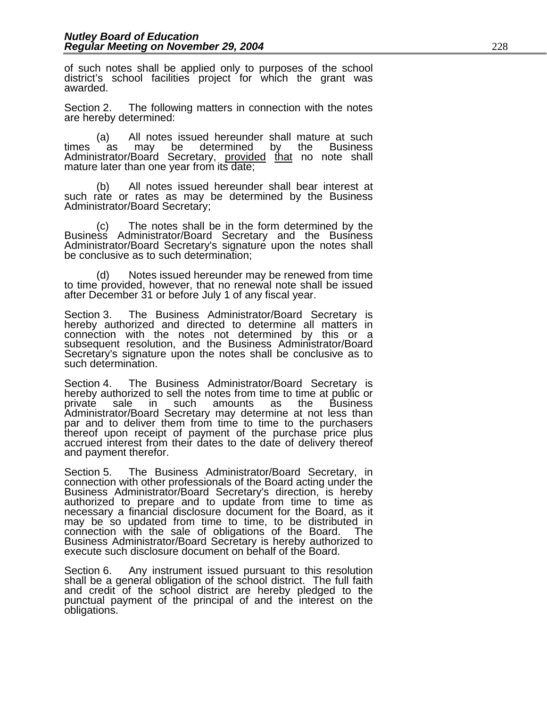of such notes shall be applied only to purposes of the school district's school facilities project for which the grant was awarded.

Section 2. The following matters in connection with the notes are hereby determined:

(a) All notes issued hereunder shall mature at such<br>times as may be determined by the Business as may be determined Administrator/Board Secretary, provided that no note shall mature later than one year from its date;

 (b) All notes issued hereunder shall bear interest at such rate or rates as may be determined by the Business Administrator/Board Secretary;

(c) The notes shall be in the form determined by the Business Administrator/Board Secretary and the Business Administrator/Board Secretary's signature upon the notes shall be conclusive as to such determination;

 (d) Notes issued hereunder may be renewed from time to time provided, however, that no renewal note shall be issued after December 31 or before July 1 of any fiscal year.

Section 3. The Business Administrator/Board Secretary is hereby authorized and directed to determine all matters in connection with the notes not determined by this or a subsequent resolution, and the Business Administrator/Board Secretary's signature upon the notes shall be conclusive as to such determination.

Section 4. The Business Administrator/Board Secretary is hereby authorized to sell the notes from time to time at public or private sale in such amounts as the Business<br>Administrator/Board Secretary may determine at not less than par and to deliver them from time to time to the purchasers thereof upon receipt of payment of the purchase price plus accrued interest from their dates to the date of delivery thereof and payment therefor.

Section 5. The Business Administrator/Board Secretary, in connection with other professionals of the Board acting under the Business Administrator/Board Secretary's direction, is hereby authorized to prepare and to update necessary a financial disclosure document for the Board, as it may be so updated from time to time, to be distributed in connection with the sale of obligations of the Board. The **Business Administrator/Board Secretary is hereby authorized to** execute such disclosure document on behalf of the Board.

Section 6. Any instrument issued pursuant to this resolution shall be a general obligation of the school district. The full faith and credit of the school district are hereby pledged to the punctual payment of the principal of and the interest on the obligations.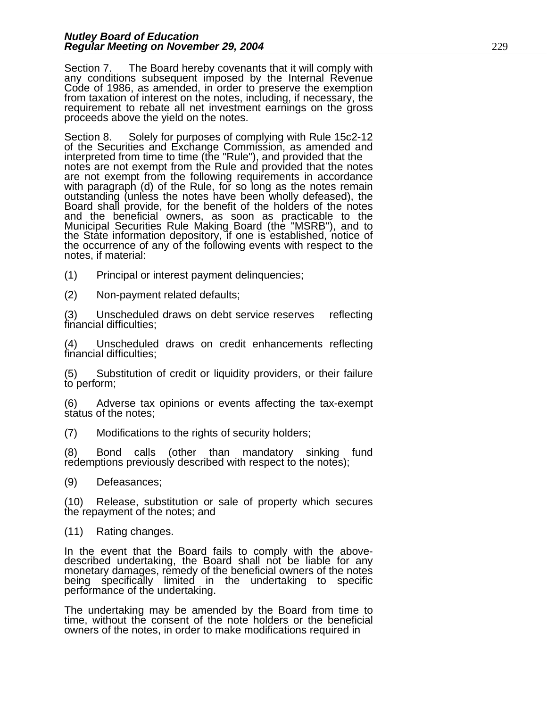Section 7. The Board hereby covenants that it will comply with any conditions subsequent imposed by the Internal Revenue Code of 1986, as amended, in order to preserve the exemption from taxation of interest on the notes, including, if necessary, the requirement to rebate all net investment earnings on the gross proceeds above the yield on the notes.

Section 8. Solely for purposes of complying with Rule 15c2-12<br>of the Securities and Exchange Commission, as amended and<br>interpreted from time to time (the "Rule"), and provided that the notes are not exempt from the Rule and provided that the notes are not exempt from the following requirements in accordance<br>with paragraph (d) of the Rule, for so long as the notes remain<br>outstanding (unless the notes have been wholly defeased), the<br>Board shall provide, for the benefi and the beneficial owners, as soon as practicable to the Municipal Securities Rule Making Board (the "MSRB"), and to the State information depository, if one is established, notice of the occurrence of any of the following events with respect to the notes, if material:

(1) Principal or interest payment delinquencies;

(2) Non-payment related defaults;

(3) Unscheduled draws on debt service reserves reflecting financial difficulties;

(4) Unscheduled draws on credit enhancements reflecting financial difficulties;

(5) Substitution of credit or liquidity providers, or their failure to perform;

(6) Adverse tax opinions or events affecting the tax-exempt status of the notes;

(7) Modifications to the rights of security holders;

(8) Bond calls (other than mandatory sinking fund redemptions previously described with respect to the notes);

(9) Defeasances;

(10) Release, substitution or sale of property which secures the repayment of the notes; and

(11) Rating changes.

In the event that the Board fails to comply with the abovedescribed undertaking, the Board shall not be liable for any<br>monetary damages, remedy of the beneficial owners of the notes monetary damages, remedy of the beneficial owners of the notes<br>being specifically limited in the undertaking to specific<br>performance of the undertaking.

The undertaking may be amended by the Board from time to time, without the consent of the note holders or the beneficial owners of the notes, in order to make modifications required in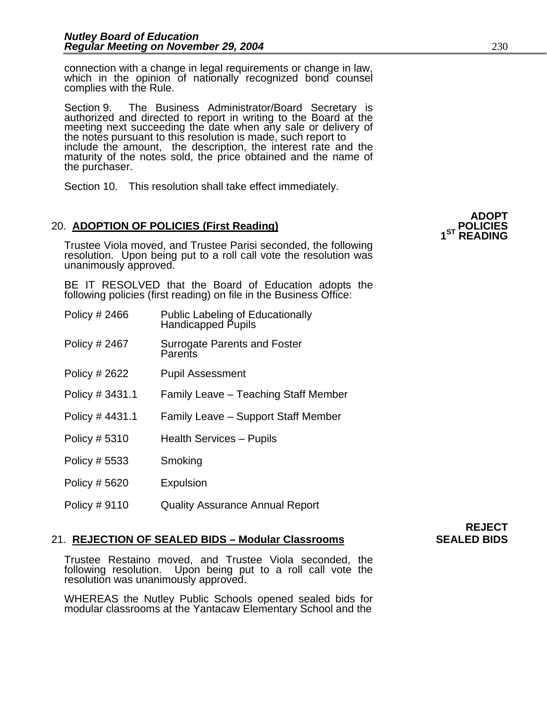connection with a change in legal requirements or change in law, which in the opinion of nationally recognized bond counsel complies with the Rule.

Section 9. The Business Administrator/Board Secretary is authorized and directed to report in writing to the Board at the meeting next succeeding the date when any sale or delivery of<br>the notes pursuant to this resolution is made, such report to<br>include the amount, the description, the interest rate and the maturity of the notes sold, the price obtained and the name of the purchaser.

Section 10. This resolution shall take effect immediately.

## 20. ADOPTION OF POLICIES (First Reading) **POLICIES POLICIES**

Trustee Viola moved, and Trustee Parisi seconded, the following resolution. Upon being put to a roll call vote the resolution was unanimously approved.

BE IT RESOLVED that the Board of Education adopts the following policies (first reading) on file in the Business Office:

| Policy # 2466 | Public Labeling of Educationally<br>Handicapped Pupils |
|---------------|--------------------------------------------------------|
| Policy # 2467 | <b>Surrogate Parents and Foster</b><br>Parents         |
| Policy # 2622 | <b>Pupil Assessment</b>                                |

- Policy # 3431.1 Family Leave Teaching Staff Member
- Policy # 4431.1 Family Leave Support Staff Member
- Policy # 5310 Health Services Pupils
- Policy # 5533 Smoking
- Policy # 5620 Expulsion
- Policy # 9110 Quality Assurance Annual Report

#### 21. **REJECTION OF SEALED BIDS – Modular Classrooms SEALED BIDS**

Trustee Restaino moved, and Trustee Viola seconded, the following resolution. Upon being put to a roll call vote the resolution was unanimously approved.

WHEREAS the Nutley Public Schools opened sealed bids for modular classrooms at the Yantacaw Elementary School and the

**REJECT**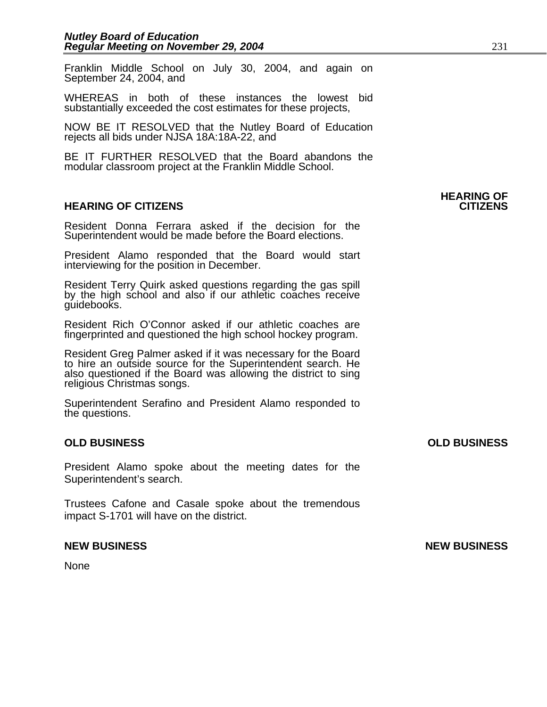Franklin Middle School on July 30, 2004, and again on September 24, 2004, and

WHEREAS in both of these instances the lowest bid substantially exceeded the cost estimates for these projects,

NOW BE IT RESOLVED that the Nutley Board of Education rejects all bids under NJSA 18A:18A-22, and

BE IT FURTHER RESOLVED that the Board abandons the modular classroom project at the Franklin Middle School.

#### **HEARING OF CITIZENS CITIZENS**

Resident Donna Ferrara asked if the decision for the Superintendent would be made before the Board elections.

President Alamo responded that the Board would start interviewing for the position in December.

Resident Terry Quirk asked questions regarding the gas spill by the high school and also if our athletic coaches receive guidebooks.

Resident Rich O'Connor asked if our athletic coaches are fingerprinted and questioned the high school hockey program.

Resident Greg Palmer asked if it was necessary for the Board to hire an outside source for the Superintendent search. He also questioned if the Board was allowing the district to sing religious Christmas songs.

Superintendent Serafino and President Alamo responded to the questions.

#### **OLD BUSINESS OLD BUSINESS**

President Alamo spoke about the meeting dates for the Superintendent's search.

Trustees Cafone and Casale spoke about the tremendous impact S-1701 will have on the district.

None

**HEARING OF** 

**NEW BUSINESS NEW BUSINESS**